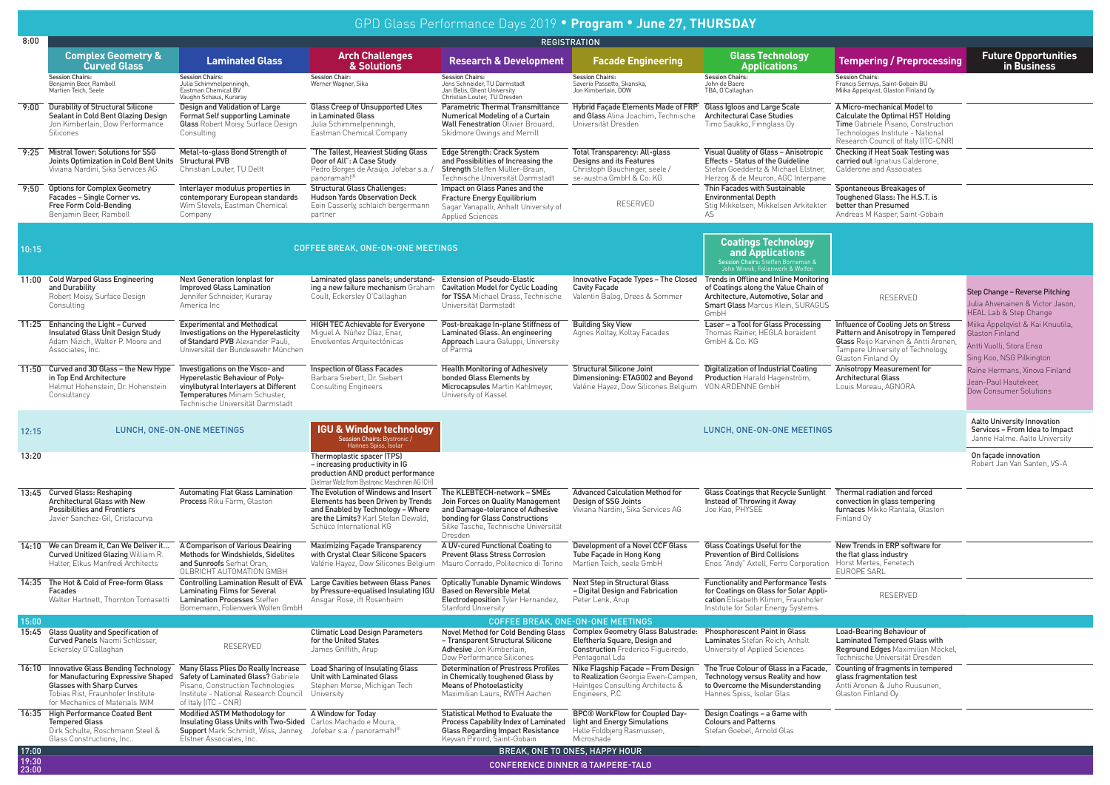|                | GPD Glass Performance Days 2019 • Program • June 27, THURSDAY                                                                                                                        |                                                                                                                                                                                             |                                                                                                                                                                                  |                                                                                                                                                                                            |                                                                                                                                    |                                                                                                                                                                                                          |                                                                                                                                                                                    |                                                                                                             |  |  |  |
|----------------|--------------------------------------------------------------------------------------------------------------------------------------------------------------------------------------|---------------------------------------------------------------------------------------------------------------------------------------------------------------------------------------------|----------------------------------------------------------------------------------------------------------------------------------------------------------------------------------|--------------------------------------------------------------------------------------------------------------------------------------------------------------------------------------------|------------------------------------------------------------------------------------------------------------------------------------|----------------------------------------------------------------------------------------------------------------------------------------------------------------------------------------------------------|------------------------------------------------------------------------------------------------------------------------------------------------------------------------------------|-------------------------------------------------------------------------------------------------------------|--|--|--|
| 8:00           | <b>REGISTRATION</b>                                                                                                                                                                  |                                                                                                                                                                                             |                                                                                                                                                                                  |                                                                                                                                                                                            |                                                                                                                                    |                                                                                                                                                                                                          |                                                                                                                                                                                    |                                                                                                             |  |  |  |
|                | <b>Complex Geometry &amp;</b><br><b>Curved Glass</b>                                                                                                                                 | <b>Laminated Glass</b>                                                                                                                                                                      | <b>Arch Challenges</b><br>& Solutions                                                                                                                                            | <b>Research &amp; Development</b>                                                                                                                                                          | <b>Facade Engineering</b>                                                                                                          | <b>Glass Technology</b><br><b>Applications</b>                                                                                                                                                           | <b>Tempering / Preprocessing</b>                                                                                                                                                   | <b>Future Opportunities</b><br>in Business                                                                  |  |  |  |
|                | <b>Session Chairs:</b><br>Benjamin Beer, Ramboll<br>Martien Teich, Seele                                                                                                             | Session Chairs:<br>Julia Schimmelpenningh,<br>Eastman Chemical BV<br>Vaughn Schaus, Kuraray                                                                                                 | <b>Session Chair:</b><br>Werner Wagner, Sika                                                                                                                                     | Session Chairs:<br>Jens Schneider, TU Darmstadt<br>Jan Belis, Ghent University<br>Christian Louter, TU Dresden                                                                             | <b>Session Chairs:</b><br>Saverio Passetto, Skanska.<br>Jon Kimberlain, DOW                                                        | Session Chairs:<br>John de Baere<br>TBA, O'Callaghan                                                                                                                                                     | <b>Session Chairs:</b><br>Francis Serruys, Saint-Gobain BU<br>Miika Äppelqvist, Glaston Finland Oy                                                                                 |                                                                                                             |  |  |  |
| 9:00           | <b>Durability of Structural Silicone</b><br>Sealant in Cold Bent Glazing Design<br>Jon Kimberlain, Dow Performance<br>Silicones                                                      | Design and Validation of Large<br><b>Format Self supporting Laminate</b><br>Glass Robert Moisy, Surface Design<br>Consulting                                                                | Glass Creep of Unsupported Lites<br>in Laminated Glass<br>Julia Schimmelpenningh,<br>Eastman Chemical Company                                                                    | Parametric Thermal Transmittance<br>Numerical Modeling of a Curtain<br><b>Wall Fenestration Olivier Brouard,</b><br>Skidmore Owings and Merrill                                            | Hybrid Facade Elements Made of FRP<br>and Glass Alina Joachim, Technische<br>Universität Dresden                                   | Glass Igloos and Large Scale<br><b>Architectural Case Studies</b><br>Timo Saukko, Finnglass Oy                                                                                                           | A Micro-mechanical Model to<br>Calculate the Optimal HST Holding<br>Time Gabriele Pisano, Construction<br>Technologies Institute - National<br>Research Council of Italy (ITC-CNR) |                                                                                                             |  |  |  |
| 9:25           | Mistral Tower: Solutions for SSG<br>Joints Optimization in Cold Bent Units Structural PVB<br>Viviana Nardini, Sika Services AG                                                       | Metal-to-glass Bond Strength of<br>Christian Louter, TU Delft                                                                                                                               | "The Tallest, Heaviest Sliding Glass<br>Door of All": A Case Study<br>Pedro Borges de Araújo. Jofebar s.a./<br>panoramah!®                                                       | Edge Strength: Crack System<br>and Possibilities of Increasing the<br>Strength Steffen Müller-Braun.<br>Technische Universität Darmstadt                                                   | Total Transparency: All-glass<br>Designs and its Features<br>Christoph Bauchinger, seele /<br>se-austria GmbH & Co. KG             | Visual Quality of Glass - Anisotropic<br><b>Effects - Status of the Guideline</b><br>Stefan Goeddertz & Michael Elstner,<br>Herzog & de Meuron, AGC Interpane                                            | Checking if Heat Soak Testing was<br>carried out Ignatius Calderone,<br>Calderone and Associates                                                                                   |                                                                                                             |  |  |  |
| 9:50           | <b>Options for Complex Geometry</b><br>Facades - Single Corner vs.<br>Free Form Cold-Bending<br>Benjamin Beer, Rambol                                                                | Interlayer modulus properties in<br>contemporary European standards<br>Wim Stevels, Eastman Chemical<br>Company                                                                             | <b>Structural Glass Challenges:</b><br><b>Hudson Yards Observation Deck</b><br>Eoin Casserly, schlaich bergermann<br>partner                                                     | Impact on Glass Panes and the<br>Fracture Energy Equilibrium<br>Sagar Vanapalli, Anhalt University of<br><b>Applied Sciences</b>                                                           | RESERVED                                                                                                                           | Thin Facades with Sustainable<br><b>Environmental Depth</b><br>Stig Mikkelsen, Mikkelsen Arkitekter                                                                                                      | Spontaneous Breakages of<br>Toughened Glass: The H.S.T. is<br>better than Presumed<br>Andreas M Kasper, Saint-Gobain                                                               |                                                                                                             |  |  |  |
| 10:15          |                                                                                                                                                                                      |                                                                                                                                                                                             | <b>COFFEE BREAK, ONE-ON-ONE MEETINGS</b>                                                                                                                                         |                                                                                                                                                                                            |                                                                                                                                    | <b>Coatings Technology</b><br>and Applications<br>Session Chairs: Steffen Borneman &<br>John Winnik, Folienwerk & Wolfen                                                                                 |                                                                                                                                                                                    |                                                                                                             |  |  |  |
|                | 11:00 Cold Warped Glass Engineering<br>and Durability<br>Robert Moisy, Surface Design<br>Consulting                                                                                  | <b>Next Generation lonplast for</b><br><b>Improved Glass Lamination</b><br>Jennifer Schneider, Kuraray<br>America Inc                                                                       | Laminated glass panels; understand-<br>ing a new failure mechanism Graham<br>Coult, Eckersley O'Callaghan                                                                        | <b>Extension of Pseudo-Elastic</b><br><b>Cavitation Model for Cyclic Loading</b><br>for TSSA Michael Drass, Technische<br>Universität Darmstadt                                            | <b>Cavity Facade</b><br>Valentin Balog, Drees & Sommer                                                                             | Innovative Facade Types - The Closed Trends in Offline and Inline Monitoring<br>of Coatings along the Value Chain of<br>Architecture, Automotive, Solar and<br>Smart Glass Marcus Klein, SURAGUS<br>GmbH | RESERVED                                                                                                                                                                           | Step Change - Reverse Pitching<br>Julia Ahvenainen & Victor Jason,<br><b>HEAL Lab &amp; Step Change</b>     |  |  |  |
|                | 11:25 Enhancing the Light - Curved<br>Insulated Glass Unit Design Study<br>Adam Nizich, Walter P. Moore and<br>Associates, Inc.                                                      | <b>Experimental and Methodical</b><br>Investigations on the Hyperelasticity<br>of Standard PVB Alexander Pauli,<br>Universität der Bundeswehr München                                       | <b>HIGH TEC Achievable for Everyone</b><br>Miguel A. Núñez Díaz, Enar,<br>Envolventes Arquitectónicas                                                                            | Post-breakage In-plane Stiffness of<br>Laminated Glass. An engineering<br>Approach Laura Galuppi, University<br>of Parma                                                                   | <b>Building Sky View</b><br>Agnes Koltay, Koltay Facades                                                                           | Laser - a Tool for Glass Processing<br>Thomas Rainer, HEGLA boraident<br>GmbH & Co. KG                                                                                                                   | Influence of Cooling Jets on Stress<br>Pattern and Anisotropy in Tempered<br>Glass Reijo Karvinen & Antti Aronen,<br>Tampere University of Technology,<br>Glaston Finland Oy       | Miika Äppelqvist & Kai Knuutila,<br>Glaston Finland<br>Antti Vuolli, Stora Enso<br>Sing Koo, NSG Pilkington |  |  |  |
|                | 11:50 Curved and 3D Glass - the New Hype<br>in Top End Architecture<br>Helmut Hohenstein, Dr. Hohenstein<br>Consultancy                                                              | Investigations on the Visco- and<br>Hyperelastic Behaviour of Poly-<br>vinvlbutvral Interlavers at Different<br>Temperatures Miriam Schuster.<br>Technische Universität Darmstadt           | <b>Inspection of Glass Facades</b><br>Barbara Siebert, Dr. Siebert<br><b>Consulting Engineers</b>                                                                                | <b>Health Monitoring of Adhesively</b><br>bonded Glass Elements by<br>Microcapsules Martin Kahlmever.<br>University of Kassel                                                              | <b>Structural Silicone Joint</b><br>Dimensioning: ETAG002 and Beyond<br>Valérie Hayez, Dow Silicones Belgium                       | Digitalization of Industrial Coating<br>Production Harald Hagenström,<br>VON ARDENNE GmbH                                                                                                                | <b>Anisotropy Measurement for</b><br><b>Architectural Glass</b><br>Louis Moreau, AGNORA                                                                                            | Raine Hermans, Xinova Finland<br>Jean-Paul Hautekeer,<br>Dow Consumer Solutions                             |  |  |  |
| 12:15          |                                                                                                                                                                                      | LUNCH, ONE-ON-ONE MEETINGS                                                                                                                                                                  | <b>IGU &amp; Window technology</b><br>Session Chairs: Bystronic /<br>Hannes Spiss, Isolar                                                                                        |                                                                                                                                                                                            |                                                                                                                                    | LUNCH, ONE-ON-ONE MEETINGS                                                                                                                                                                               |                                                                                                                                                                                    | <b>Aalto University Innovation</b><br>Services - From Idea to Impact<br>Janne Halme. Aalto University       |  |  |  |
| 13:20          |                                                                                                                                                                                      |                                                                                                                                                                                             | Thermoplastic spacer (TPS)<br>- increasing productivity in IG<br>production AND product performance<br>Dietmar Walz from Bystronic Maschinen AG (CH)                             |                                                                                                                                                                                            |                                                                                                                                    |                                                                                                                                                                                                          |                                                                                                                                                                                    | On façade innovation<br>Robert Jan Van Santen, VS-A                                                         |  |  |  |
|                | 13:45 Curved Glass: Reshaping<br>Architectural Glass with New<br><b>Possibilities and Frontiers</b><br>Javier Sanchez-Gil, Cristacurva                                               | <b>Automating Flat Glass Lamination</b><br>Process Riku Färm, Glaston                                                                                                                       | The Evolution of Windows and Insert<br>Elements has been Driven by Trends<br>and Enabled by Technology - Where<br>are the Limits? Karl Stefan Dewald,<br>Schüco International KG | The KLEBTECH-network - SMEs<br>Join Forces on Quality Management<br>and Damage-tolerance of Adhesive<br>bonding for Glass Constructions<br>Silke Tasche, Technische Universität<br>Dresden | <b>Advanced Calculation Method for</b><br>Design of SSG Joints<br>Viviana Nardini, Sika Services AG                                | <b>Glass Coatings that Recycle Sunlight</b><br>Instead of Throwing it Away<br>Joe Kao, PHYSEE                                                                                                            | Thermal radiation and forced<br>convection in glass tempering<br>furnaces Mikko Rantala, Glaston<br>Finland Oy                                                                     |                                                                                                             |  |  |  |
|                | 14:10 We can Dream it. Can We Deliver it<br>Curved Unitized Glazing William R.<br>Halter, Elkus Manfredi Architects                                                                  | A Comparison of Various Deairing<br>Methods for Windshields, Sidelites<br>and Sunroofs Serhat Oran.<br>OLBRICHT AUTOMATION GMBH                                                             | <b>Maximizing Facade Transparency</b><br>with Crystal Clear Silicone Spacers<br>Valérie Hayez, Dow Silicones Belgium                                                             | A UV-cured Functional Coating to<br><b>Prevent Glass Stress Corrosion</b><br>Mauro Corrado, Politecnico di Torino                                                                          | Development of a Novel CCF Glass<br>Tube Facade in Hong Kong<br>Martien Teich, seele GmbH                                          | Glass Coatings Useful for the<br><b>Prevention of Bird Collisions</b><br>Enos "Andy" Axtell, Ferro Corporation                                                                                           | New Trends in ERP software for<br>the flat glass industry<br>Horst Mertes, Fenetech<br><b>EUROPE SARL</b>                                                                          |                                                                                                             |  |  |  |
|                | 14:35 The Hot & Cold of Free-form Glass<br>Facades<br>Walter Hartnett, Thornton Tomasetti                                                                                            | <b>Controlling Lamination Result of EVA</b><br>Laminating Films for Several<br><b>Lamination Processes Steffen</b><br>Bornemann, Folienwerk Wolfen GmbH                                     | Large Cavities between Glass Panes<br>by Pressure-equalised Insulating IGU<br>Ansgar Rose, ift Rosenheim                                                                         | <b>Optically Tunable Dynamic Windows</b><br><b>Based on Reversible Metal</b><br>Electrodeposition Tyler Hernandez,<br>Stanford Universitv                                                  | <b>Next Step in Structural Glass</b><br>- Digital Design and Fabrication<br>Peter Lenk, Arup                                       | <b>Functionality and Performance Tests</b><br>for Coatings on Glass for Solar Appli-<br>cation Elisabeth Klimm, Fraunhofer<br>Institute for Solar Energy Systems                                         | RESERVED                                                                                                                                                                           |                                                                                                             |  |  |  |
| 15:00          |                                                                                                                                                                                      |                                                                                                                                                                                             |                                                                                                                                                                                  |                                                                                                                                                                                            | <b>COFFEE BREAK. ONE-ON-ONE MEETINGS</b>                                                                                           |                                                                                                                                                                                                          |                                                                                                                                                                                    |                                                                                                             |  |  |  |
|                | 15:45 Glass Quality and Specification of<br>Curved Panels Naomi Schlösser,<br>Eckersley O'Callaghan                                                                                  | RESERVED                                                                                                                                                                                    | <b>Climatic Load Design Parameters</b><br>for the United States<br>James Griffith, Arup                                                                                          | Novel Method for Cold Bending Glass<br>- Transparent Structural Silicone<br>Adhesive Jon Kimberlain,<br>Dow Performance Silicones                                                          | <b>Complex Geometry Glass Balustrade:</b><br>Eleftheria Square, Design and<br>Construction Frederico Figueiredo,<br>Pentagonal Lda | <b>Phosphorescent Paint in Glass</b><br>Laminates Stefan Reich, Anhalt<br>University of Applied Sciences                                                                                                 | Load-Bearing Behaviour of<br>Laminated Tempered Glass with<br>Reground Edges Maximilian Möckel,<br>Technische Universität Dresden                                                  |                                                                                                             |  |  |  |
|                | 16:10 Innovative Glass Bending Technology<br>for Manufacturing Expressive Shaped<br>Glasses with Sharp Curves<br>Tobias Rist, Fraunhofer Institute<br>for Mechanics of Materials IWM | Many Glass Plies Do Really Increase<br>Safety of Laminated Glass? Gabriele<br>Pisano, Construction Technologies<br>Institute - National Research Council University<br>of Italy (ITC - CNR) | <b>Load Sharing of Insulating Glass</b><br>Unit with Laminated Glass<br>Stephen Morse, Michigan Tech                                                                             | <b>Determination of Prestress Profiles</b><br>in Chemically toughened Glass by<br><b>Means of Photoelasticity</b><br>Maximilian Laurs, RWTH Aachen                                         | Nike Flagship Façade - From Design<br>to Realization Georgia Ewen-Campen,<br>Heintges Consulting Architects &<br>Engineers, P.C.   | The True Colour of Glass in a Facade,<br>Technology versus Reality and how<br>to Overcome the Misunderstanding<br>Hannes Spiss, Isolar Glas                                                              | Counting of fragments in tempered<br>glass fragmentation test<br>Antti Aronen & Juho Ruusunen,<br>Glaston Finland Oy                                                               |                                                                                                             |  |  |  |
|                | 16:35 High Performance Coated Bent<br><b>Tempered Glass</b><br>Dirk Schulte, Roschmann Steel &<br>Glass Constructions, Inc                                                           | Modified ASTM Methodology for<br>Insulating Glass Units with Two-Sided<br>Support Mark Schmidt, Wiss, Janney, Jofebar s.a. / panoramah!®<br><b>Elstner Associates, Inc.</b>                 | A Window for Today<br>Carlos Machado e Moura,                                                                                                                                    | <b>Statistical Method to Evaluate the</b><br>Process Capability Index of Laminated<br><b>Glass Regarding Impact Resistance</b><br>Keyvan Piroird, Saint-Gobain                             | BPC® WorkFlow for Coupled Day-<br>light and Energy Simulations<br>Helle Foldbjerg Rasmussen,<br>Microshade                         | Design Coatings - a Game with<br><b>Colours and Patterns</b><br>Stefan Goebel, Arnold Glas                                                                                                               |                                                                                                                                                                                    |                                                                                                             |  |  |  |
| 17:00<br>19:30 |                                                                                                                                                                                      |                                                                                                                                                                                             |                                                                                                                                                                                  |                                                                                                                                                                                            | BREAK, ONE TO ONES, HAPPY HOUR                                                                                                     |                                                                                                                                                                                                          |                                                                                                                                                                                    |                                                                                                             |  |  |  |
| 23:00          |                                                                                                                                                                                      |                                                                                                                                                                                             |                                                                                                                                                                                  |                                                                                                                                                                                            | <b>CONFERENCE DINNER @ TAMPERE-TALO</b>                                                                                            |                                                                                                                                                                                                          |                                                                                                                                                                                    |                                                                                                             |  |  |  |